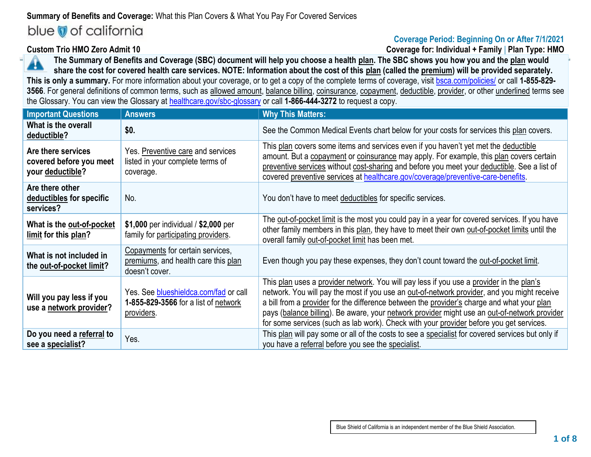# **Summary of Benefits and Coverage:** What this Plan Covers & What You Pay For Covered Services

# blue of california

# **Coverage Period: Beginning On or After 7/1/2021**

**Custom Trio HMO Zero Admit 10 Coverage for: Individual + Family** | **Plan Type: HMO**

**The Summary of Benefits and Coverage (SBC) document will help you choose a health plan. The SBC shows you how you and the plan would**  A **share the cost for covered health care services. NOTE: Information about the cost of this plan (called the premium) will be provided separately. This is only a summary.** For more information about your coverage, or to get a copy of the complete terms of coverage, visit [bsca.com/policies/](http://bsca.com/policies/) or call **1-855-829-** 3566. For general definitions of common terms, such as allowed amount, balance billing, coinsurance, copayment, deductible, provider, or other underlined terms see the Glossary. You can view the Glossary at [healthcare.gov/sbc-glossary](http://www.healthcare.gov/sbc-glossary) or call **1-866-444-3272** to request a copy.

| <b>Important Questions</b>                                        | <b>Answers</b>                                                                              | <b>Why This Matters:</b>                                                                                                                                                                                                                                                                                                                                                                                                                                                         |
|-------------------------------------------------------------------|---------------------------------------------------------------------------------------------|----------------------------------------------------------------------------------------------------------------------------------------------------------------------------------------------------------------------------------------------------------------------------------------------------------------------------------------------------------------------------------------------------------------------------------------------------------------------------------|
| What is the overall<br>deductible?                                | \$0.                                                                                        | See the Common Medical Events chart below for your costs for services this plan covers.                                                                                                                                                                                                                                                                                                                                                                                          |
| Are there services<br>covered before you meet<br>your deductible? | Yes. Preventive care and services<br>listed in your complete terms of<br>coverage.          | This plan covers some items and services even if you haven't yet met the deductible<br>amount. But a copayment or coinsurance may apply. For example, this plan covers certain<br>preventive services without cost-sharing and before you meet your deductible. See a list of<br>covered preventive services at healthcare.gov/coverage/preventive-care-benefits.                                                                                                                |
| Are there other<br>deductibles for specific<br>services?          | No.                                                                                         | You don't have to meet deductibles for specific services.                                                                                                                                                                                                                                                                                                                                                                                                                        |
| What is the out-of-pocket<br>limit for this plan?                 | \$1,000 per individual / \$2,000 per<br>family for participating providers.                 | The out-of-pocket limit is the most you could pay in a year for covered services. If you have<br>other family members in this plan, they have to meet their own out-of-pocket limits until the<br>overall family out-of-pocket limit has been met.                                                                                                                                                                                                                               |
| What is not included in<br>the out-of-pocket limit?               | Copayments for certain services,<br>premiums, and health care this plan<br>doesn't cover.   | Even though you pay these expenses, they don't count toward the out-of-pocket limit.                                                                                                                                                                                                                                                                                                                                                                                             |
| Will you pay less if you<br>use a network provider?               | Yes. See blueshieldca.com/fad or call<br>1-855-829-3566 for a list of network<br>providers. | This plan uses a provider network. You will pay less if you use a provider in the plan's<br>network. You will pay the most if you use an out-of-network provider, and you might receive<br>a bill from a provider for the difference between the provider's charge and what your plan<br>pays (balance billing). Be aware, your network provider might use an out-of-network provider<br>for some services (such as lab work). Check with your provider before you get services. |
| Do you need a referral to<br>see a specialist?                    | Yes.                                                                                        | This plan will pay some or all of the costs to see a specialist for covered services but only if<br>you have a referral before you see the specialist.                                                                                                                                                                                                                                                                                                                           |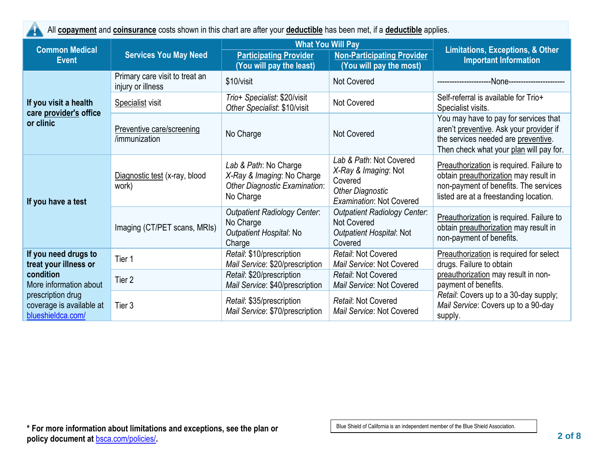| All copayment and coinsurance costs shown in this chart are after your deductible has been met, if a deductible applies. |                                                     |                                                                                                          |                                                                                                                          |                                                                                                                                                                      |
|--------------------------------------------------------------------------------------------------------------------------|-----------------------------------------------------|----------------------------------------------------------------------------------------------------------|--------------------------------------------------------------------------------------------------------------------------|----------------------------------------------------------------------------------------------------------------------------------------------------------------------|
| <b>Common Medical</b><br><b>Event</b>                                                                                    | <b>Services You May Need</b>                        | <b>What You Will Pay</b><br><b>Participating Provider</b><br>(You will pay the least)                    | <b>Non-Participating Provider</b><br>(You will pay the most)                                                             | <b>Limitations, Exceptions, &amp; Other</b><br><b>Important Information</b>                                                                                          |
|                                                                                                                          | Primary care visit to treat an<br>injury or illness | \$10/visit                                                                                               | <b>Not Covered</b>                                                                                                       | -None----------------------                                                                                                                                          |
| If you visit a health<br>care provider's office                                                                          | <b>Specialist visit</b>                             | Trio+ Specialist: \$20/visit<br>Other Specialist: \$10/visit                                             | <b>Not Covered</b>                                                                                                       | Self-referral is available for Trio+<br>Specialist visits.                                                                                                           |
| or clinic                                                                                                                | Preventive care/screening<br>/immunization          | No Charge                                                                                                | <b>Not Covered</b>                                                                                                       | You may have to pay for services that<br>aren't preventive. Ask your provider if<br>the services needed are preventive.<br>Then check what your plan will pay for.   |
| If you have a test                                                                                                       | Diagnostic test (x-ray, blood<br>work)              | Lab & Path: No Charge<br>X-Ray & Imaging: No Charge<br><b>Other Diagnostic Examination:</b><br>No Charge | Lab & Path: Not Covered<br>X-Ray & Imaging: Not<br>Covered<br><b>Other Diagnostic</b><br><b>Examination: Not Covered</b> | Preauthorization is required. Failure to<br>obtain preauthorization may result in<br>non-payment of benefits. The services<br>listed are at a freestanding location. |
|                                                                                                                          | Imaging (CT/PET scans, MRIs)                        | <b>Outpatient Radiology Center:</b><br>No Charge<br>Outpatient Hospital: No<br>Charge                    | <b>Outpatient Radiology Center:</b><br><b>Not Covered</b><br>Outpatient Hospital: Not<br>Covered                         | Preauthorization is required. Failure to<br>obtain preauthorization may result in<br>non-payment of benefits.                                                        |
| If you need drugs to<br>treat your illness or                                                                            | Tier 1                                              | Retail: \$10/prescription<br>Mail Service: \$20/prescription                                             | Retail: Not Covered<br>Mail Service: Not Covered                                                                         | Preauthorization is required for select<br>drugs. Failure to obtain                                                                                                  |
| condition<br>More information about                                                                                      | Tier <sub>2</sub>                                   | Retail: \$20/prescription<br>Mail Service: \$40/prescription                                             | Retail: Not Covered<br>Mail Service: Not Covered                                                                         | preauthorization may result in non-<br>payment of benefits.                                                                                                          |
| prescription drug<br>coverage is available at<br>blueshieldca.com/                                                       | Tier 3                                              | Retail: \$35/prescription<br>Mail Service: \$70/prescription                                             | Retail: Not Covered<br>Mail Service: Not Covered                                                                         | Retail: Covers up to a 30-day supply;<br>Mail Service: Covers up to a 90-day<br>supply.                                                                              |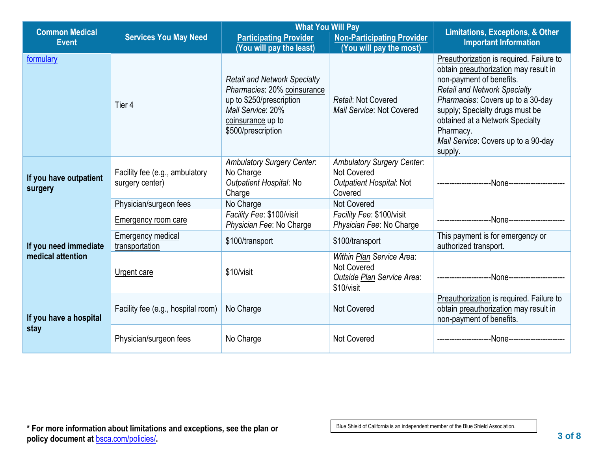| <b>Common Medical</b>             |                                                   | <b>What You Will Pay</b>                                                                                                                                       |                                                                                                | <b>Limitations, Exceptions, &amp; Other</b>                                                                                                                                                                                                                                                                                    |
|-----------------------------------|---------------------------------------------------|----------------------------------------------------------------------------------------------------------------------------------------------------------------|------------------------------------------------------------------------------------------------|--------------------------------------------------------------------------------------------------------------------------------------------------------------------------------------------------------------------------------------------------------------------------------------------------------------------------------|
| <b>Event</b>                      | <b>Services You May Need</b>                      | <b>Participating Provider</b><br>(You will pay the least)                                                                                                      | <b>Non-Participating Provider</b><br>(You will pay the most)                                   | <b>Important Information</b>                                                                                                                                                                                                                                                                                                   |
| formulary                         | Tier 4                                            | <b>Retail and Network Specialty</b><br>Pharmacies: 20% coinsurance<br>up to \$250/prescription<br>Mail Service: 20%<br>coinsurance up to<br>\$500/prescription | Retail: Not Covered<br>Mail Service: Not Covered                                               | Preauthorization is required. Failure to<br>obtain preauthorization may result in<br>non-payment of benefits.<br><b>Retail and Network Specialty</b><br>Pharmacies: Covers up to a 30-day<br>supply; Specialty drugs must be<br>obtained at a Network Specialty<br>Pharmacy.<br>Mail Service: Covers up to a 90-day<br>supply. |
| If you have outpatient<br>surgery | Facility fee (e.g., ambulatory<br>surgery center) | <b>Ambulatory Surgery Center:</b><br>No Charge<br>Outpatient Hospital: No<br>Charge                                                                            | <b>Ambulatory Surgery Center:</b><br><b>Not Covered</b><br>Outpatient Hospital: Not<br>Covered |                                                                                                                                                                                                                                                                                                                                |
|                                   | Physician/surgeon fees                            | No Charge                                                                                                                                                      | <b>Not Covered</b>                                                                             |                                                                                                                                                                                                                                                                                                                                |
|                                   | Emergency room care                               | Facility Fee: \$100/visit<br>Physician Fee: No Charge                                                                                                          | Facility Fee: \$100/visit<br>Physician Fee: No Charge                                          |                                                                                                                                                                                                                                                                                                                                |
| If you need immediate             | <b>Emergency medical</b><br>transportation        | \$100/transport                                                                                                                                                | \$100/transport                                                                                | This payment is for emergency or<br>authorized transport.                                                                                                                                                                                                                                                                      |
| medical attention                 | Urgent care                                       | \$10/visit                                                                                                                                                     | Within Plan Service Area:<br>Not Covered<br>Outside Plan Service Area:<br>\$10/visit           |                                                                                                                                                                                                                                                                                                                                |
| If you have a hospital<br>stay    | Facility fee (e.g., hospital room)                | No Charge                                                                                                                                                      | <b>Not Covered</b>                                                                             | Preauthorization is required. Failure to<br>obtain preauthorization may result in<br>non-payment of benefits.                                                                                                                                                                                                                  |
|                                   | Physician/surgeon fees                            | No Charge                                                                                                                                                      | Not Covered                                                                                    |                                                                                                                                                                                                                                                                                                                                |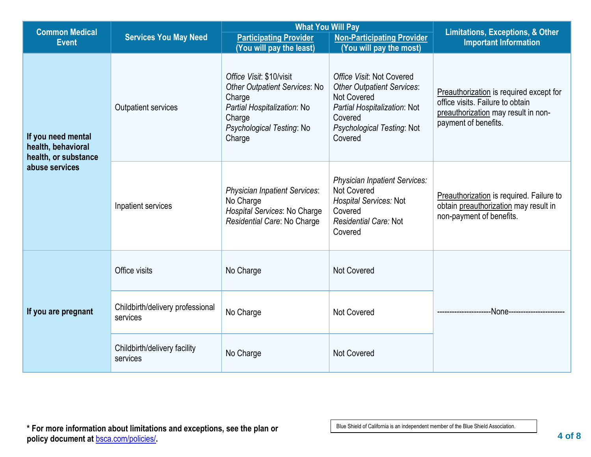| <b>Common Medical</b>                                                              | <b>What You Will Pay</b>                     |                                                                                                                                                            |                                                                                                                                                                          |                                                                                                                                            |
|------------------------------------------------------------------------------------|----------------------------------------------|------------------------------------------------------------------------------------------------------------------------------------------------------------|--------------------------------------------------------------------------------------------------------------------------------------------------------------------------|--------------------------------------------------------------------------------------------------------------------------------------------|
| <b>Event</b>                                                                       | <b>Services You May Need</b>                 | <b>Participating Provider</b>                                                                                                                              | <b>Non-Participating Provider</b>                                                                                                                                        | <b>Limitations, Exceptions, &amp; Other</b><br><b>Important Information</b>                                                                |
|                                                                                    |                                              | (You will pay the least)                                                                                                                                   | (You will pay the most)                                                                                                                                                  |                                                                                                                                            |
| If you need mental<br>health, behavioral<br>health, or substance<br>abuse services | Outpatient services                          | Office Visit: \$10/visit<br><b>Other Outpatient Services: No</b><br>Charge<br>Partial Hospitalization: No<br>Charge<br>Psychological Testing: No<br>Charge | Office Visit: Not Covered<br><b>Other Outpatient Services:</b><br><b>Not Covered</b><br>Partial Hospitalization: Not<br>Covered<br>Psychological Testing: Not<br>Covered | Preauthorization is required except for<br>office visits. Failure to obtain<br>preauthorization may result in non-<br>payment of benefits. |
|                                                                                    | Inpatient services                           | <b>Physician Inpatient Services:</b><br>No Charge<br>Hospital Services: No Charge<br>Residential Care: No Charge                                           | <b>Physician Inpatient Services:</b><br><b>Not Covered</b><br>Hospital Services: Not<br>Covered<br>Residential Care: Not<br>Covered                                      | Preauthorization is required. Failure to<br>obtain preauthorization may result in<br>non-payment of benefits.                              |
| If you are pregnant                                                                | Office visits                                | No Charge                                                                                                                                                  | <b>Not Covered</b>                                                                                                                                                       |                                                                                                                                            |
|                                                                                    | Childbirth/delivery professional<br>services | No Charge                                                                                                                                                  | <b>Not Covered</b>                                                                                                                                                       | -None-------------------                                                                                                                   |
|                                                                                    | Childbirth/delivery facility<br>services     | No Charge                                                                                                                                                  | Not Covered                                                                                                                                                              |                                                                                                                                            |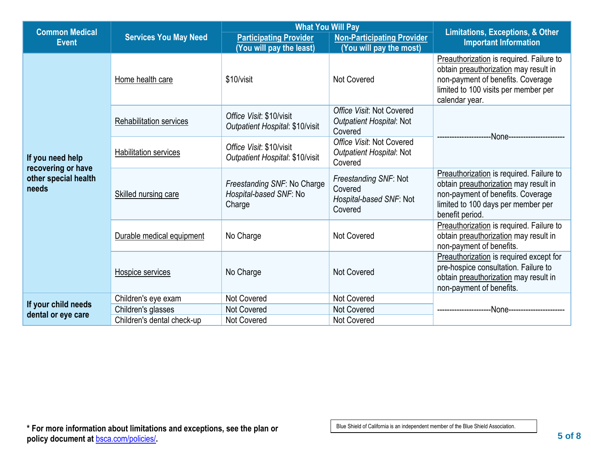| <b>Common Medical</b>                                                   |                              | <b>What You Will Pay</b>                                        |                                                                         |                                                                                                                                                                                  |
|-------------------------------------------------------------------------|------------------------------|-----------------------------------------------------------------|-------------------------------------------------------------------------|----------------------------------------------------------------------------------------------------------------------------------------------------------------------------------|
| <b>Event</b>                                                            | <b>Services You May Need</b> | <b>Participating Provider</b><br>(You will pay the least)       | <b>Non-Participating Provider</b><br>(You will pay the most)            | <b>Limitations, Exceptions, &amp; Other</b><br><b>Important Information</b>                                                                                                      |
|                                                                         | Home health care             | \$10/visit                                                      | Not Covered                                                             | Preauthorization is required. Failure to<br>obtain preauthorization may result in<br>non-payment of benefits. Coverage<br>limited to 100 visits per member per<br>calendar year. |
|                                                                         | Rehabilitation services      | Office Visit: \$10/visit<br>Outpatient Hospital: \$10/visit     | Office Visit: Not Covered<br><b>Outpatient Hospital: Not</b><br>Covered | -None-------------------                                                                                                                                                         |
| If you need help<br>recovering or have<br>other special health<br>needs | <b>Habilitation services</b> | Office Visit: \$10/visit<br>Outpatient Hospital: \$10/visit     | Office Visit: Not Covered<br><b>Outpatient Hospital: Not</b><br>Covered |                                                                                                                                                                                  |
|                                                                         | Skilled nursing care         | Freestanding SNF: No Charge<br>Hospital-based SNF: No<br>Charge | Freestanding SNF: Not<br>Covered<br>Hospital-based SNF: Not<br>Covered  | Preauthorization is required. Failure to<br>obtain preauthorization may result in<br>non-payment of benefits. Coverage<br>limited to 100 days per member per<br>benefit period.  |
|                                                                         | Durable medical equipment    | No Charge                                                       | <b>Not Covered</b>                                                      | Preauthorization is required. Failure to<br>obtain preauthorization may result in<br>non-payment of benefits.                                                                    |
|                                                                         | Hospice services             | No Charge                                                       | <b>Not Covered</b>                                                      | Preauthorization is required except for<br>pre-hospice consultation. Failure to<br>obtain preauthorization may result in<br>non-payment of benefits.                             |
|                                                                         | Children's eye exam          | Not Covered                                                     | <b>Not Covered</b>                                                      |                                                                                                                                                                                  |
| If your child needs<br>dental or eye care                               | Children's glasses           | <b>Not Covered</b>                                              | <b>Not Covered</b>                                                      | -None---------------                                                                                                                                                             |
|                                                                         | Children's dental check-up   | <b>Not Covered</b>                                              | <b>Not Covered</b>                                                      |                                                                                                                                                                                  |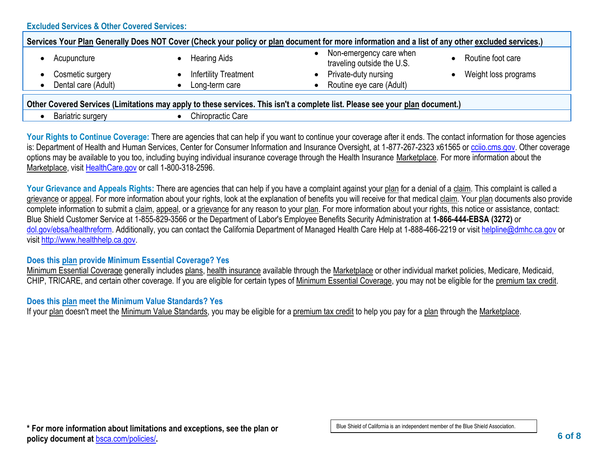| Services Your Plan Generally Does NOT Cover (Check your policy or plan document for more information and a list of any other excluded services.) |                              |                                                       |                      |  |
|--------------------------------------------------------------------------------------------------------------------------------------------------|------------------------------|-------------------------------------------------------|----------------------|--|
| Acupuncture                                                                                                                                      | Hearing Aids                 | Non-emergency care when<br>traveling outside the U.S. | Routine foot care    |  |
| Cosmetic surgery<br>$\bullet$                                                                                                                    | <b>Infertility Treatment</b> | Private-duty nursing                                  | Weight loss programs |  |
| Dental care (Adult)                                                                                                                              | Long-term care               | Routine eye care (Adult)                              |                      |  |
| Other Covered Services II imitations may apply to these services. This jsn't a complete list Please see your plan decument)                      |                              |                                                       |                      |  |

**Other Covered Services (Limitations may apply to these services. This isn't a complete list. Please see your plan document.)**

**Bariatric surgery • Chiropractic Care** 

Your Rights to Continue Coverage: There are agencies that can help if you want to continue your coverage after it ends. The contact information for those agencies is: Department of Health and Human Services, Center for Consumer Information and Insurance Oversight, at 1-877-267-2323 x61565 or [cciio.cms.gov.](http://cciio.cms.gov/) Other coverage options may be available to you too, including buying individual insurance coverage through the Health Insurance Marketplace. For more information about the Marketplace, visit [HealthCare.gov](http://healthcare.gov/) or call 1-800-318-2596.

Your Grievance and Appeals Rights: There are agencies that can help if you have a complaint against your plan for a denial of a claim. This complaint is called a grievance or appeal. For more information about your rights, look at the explanation of benefits you will receive for that medical claim. Your plan documents also provide complete information to submit a claim, appeal, or a grievance for any reason to your plan. For more information about your rights, this notice or assistance, contact: Blue Shield Customer Service at 1-855-829-3566 or the Department of Labor's Employee Benefits Security Administration at **1-866-444-EBSA (3272)** or [dol.gov/ebsa/healthreform.](https://www.dol.gov/agencies/ebsa/laws-and-regulations/laws/affordable-care-act/) Additionally, you can contact the California Department of Managed Health Care Help at 1-888-466-2219 or visit [helpline@dmhc.ca.gov](http://mailto:helpline@dmhc.ca.gov) or visit [http://www.healthhelp.ca.gov.](http://www.healthhelp.ca.gov/)

# **Does this plan provide Minimum Essential Coverage? Yes**

Minimum Essential Coverage generally includes plans, health insurance available through the Marketplace or other individual market policies, Medicare, Medicaid, CHIP, TRICARE, and certain other coverage. If you are eligible for certain types of Minimum Essential Coverage, you may not be eligible for the premium tax credit.

# **Does this plan meet the Minimum Value Standards? Yes**

If your plan doesn't meet the Minimum Value Standards, you may be eligible for a premium tax credit to help you pay for a plan through the Marketplace.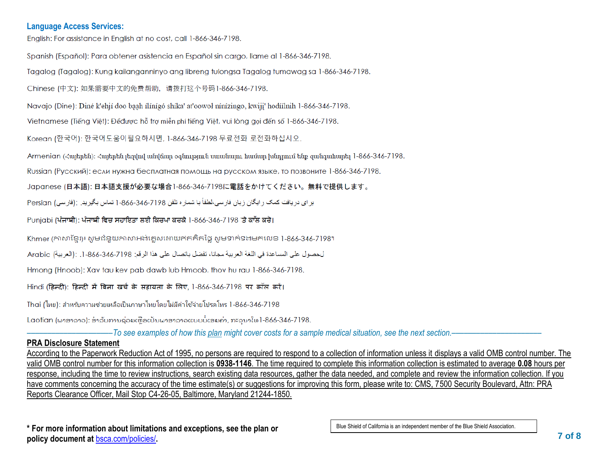#### **Language Access Services:**

English: For assistance in English at no cost, call 1-866-346-7198.

Spanish (Español): Para obtener asistencia en Español sin cargo, llame al 1-866-346-7198.

Tagalog (Tagalog): Kung kailanganninyo ang libreng tulongsa Tagalog tumawag sa 1-866-346-7198.

Chinese (中文): 如果需要中文的免费帮助, 请拨打这个号码1-866-346-7198.

Navajo (Dine): Diné k'ehjí doo baah ílínígó shíka' at'oowoł nínízingo, kwiji' hodíílnih 1-866-346-7198.

Vietnamese (Tiếng Việt): Đểđược hỗ trợ miễn phí tiếng Việt, vui lòng gọi đến số 1-866-346-7198.

Korean (한국어): 한국어도움이필요하시면, 1-866-346-7198 무료전화 로전화하십시오.

Armenian (Հայերեն)։ Հայերեն լեզվով անվճար օգնություն սաանայու համար խնդրում ենք զանգահարել 1-866-346-7198.

Russian (Русский): если нужна бесплатная помощь на русском языке, то позвоните 1-866-346-7198.

Japanese (日本語): 日本語支援が必要な場合1-866-346-7198に電話をかけてください。無料で提供します。

بر اي دريافت كمك رايگان زبان فارسي،لطفاً با شمار ه تلفن 7198-866-1-366 تماس بگيريد. :(فارسي) Persian

Punigbi (ਪੰਜਾਬੀ): ਪੰਜਾਬੀ ਵਿਚ ਸਹਾਇਤਾ ਲਈ ਕਿਰਪਾ ਕਰਕੇ 1-866-346-7198 'ਤੇ ਕਾੱਲ ਕਰੋ।

Khmer (ភាសាខ្មែរ)៖ សូមជំនួយភាសាអង់គ្លេសដោយឥតគិតច្នៃ សូមទាក់ទងមកលេខ 1-866-346-7198។

لحصول على المساعدة في اللغة العربية مجانا، تفضل باتصال على هذا الرقم: 7198-346-366-1. :(العربية) Arabic

Hmong (Hnoob): Xav tau kev pab dawb lub Hmoob, thov hu rau 1-866-346-7198.

Hindi (हिन्दी): हिन्दी में बिना खर्च के सहायता के लिए, 1-866-346-7198 पर कॉल करें।

Thai (ไทย): สำหรับความช่วยเหลือเป็นภาษาไทยโดยไม่มีค่าใช้จ่ายโปรดโทร 1-866-346-7198

Laotian (ພາສາລາວ): ສໍາລັບການຊ່ວຍເຫືອເປັນພາສາລາວແບບບໍ່ເສຍຄ່າ, ກະລນາໂທ1-866-346-7198.

–––––––––––––––––––––*To see examples of how this plan might cover costs for a sample medical situation, see the next section.–––––––––––*–––––––––––

# **PRA Disclosure Statement**

According to the Paperwork Reduction Act of 1995, no persons are required to respond to a collection of information unless it displays a valid OMB control number. The valid OMB control number for this information collection is **0938-1146**. The time required to complete this information collection is estimated to average **0.08** hours per response, including the time to review instructions, search existing data resources, gather the data needed, and complete and review the information collection. If you have comments concerning the accuracy of the time estimate(s) or suggestions for improving this form, please write to: CMS, 7500 Security Boulevard, Attn: PRA Reports Clearance Officer, Mail Stop C4-26-05, Baltimore, Maryland 21244-1850.

**\* For more information about limitations and exceptions, see the plan or policy document at** [bsca.com/policies/](http://www.bsca.com/policies/)**.**

Blue Shield of California is an independent member of the Blue Shield Association.